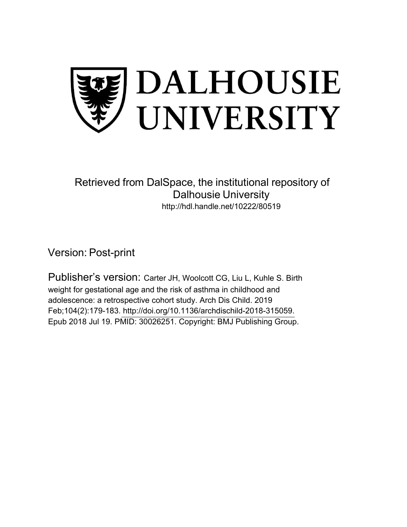

Retrieved from DalSpace, the institutional repository of Dalhousie University http://hdl.handle.net/10222/80519

Version: Post-print

Publisher's version: Carter JH, Woolcott CG, Liu L, Kuhle S. Birth weight for gestational age and the risk of asthma in childhood and adolescence: a retrospective cohort study. Arch Dis Child. 2019 Feb;104(2):179-183. [http://doi.org/10.1136/archdischild-2018-315059.](http://doi.org/10.1136/archdischild-2018-315059)  Epub 2018 Jul 19. PMID: 30026251. Copyright: BMJ Publishing Group.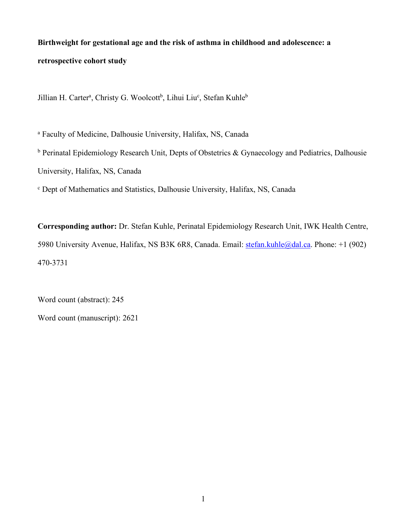# **Birthweight for gestational age and the risk of asthma in childhood and adolescence: a retrospective cohort study**

Jillian H. Carter<sup>a</sup>, Christy G. Woolcott<sup>b</sup>, Lihui Liu<sup>c</sup>, Stefan Kuhle<sup>b</sup>

<sup>a</sup> Faculty of Medicine, Dalhousie University, Halifax, NS, Canada

 $<sup>b</sup>$  Perinatal Epidemiology Research Unit, Depts of Obstetrics & Gynaecology and Pediatrics, Dalhousie</sup> University, Halifax, NS, Canada

<sup>c</sup> Dept of Mathematics and Statistics, Dalhousie University, Halifax, NS, Canada

**Corresponding author:** Dr. Stefan Kuhle, Perinatal Epidemiology Research Unit, IWK Health Centre, 5980 University Avenue, Halifax, NS B3K 6R8, Canada. Email: stefan.kuhle@dal.ca. Phone: +1 (902) 470-3731

Word count (abstract): 245

Word count (manuscript): 2621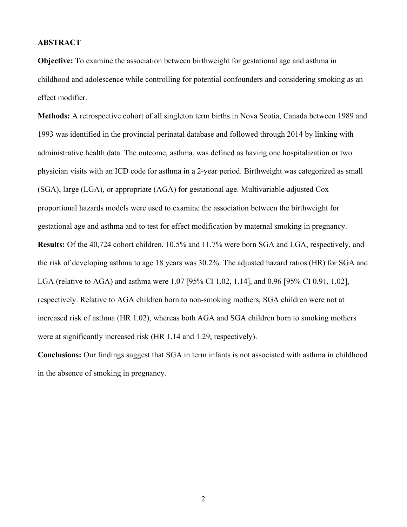#### **ABSTRACT**

**Objective:** To examine the association between birthweight for gestational age and asthma in childhood and adolescence while controlling for potential confounders and considering smoking as an effect modifier.

**Methods:** A retrospective cohort of all singleton term births in Nova Scotia, Canada between 1989 and 1993 was identified in the provincial perinatal database and followed through 2014 by linking with administrative health data. The outcome, asthma, was defined as having one hospitalization or two physician visits with an ICD code for asthma in a 2-year period. Birthweight was categorized as small (SGA), large (LGA), or appropriate (AGA) for gestational age. Multivariable-adjusted Cox proportional hazards models were used to examine the association between the birthweight for gestational age and asthma and to test for effect modification by maternal smoking in pregnancy. **Results:** Of the 40,724 cohort children, 10.5% and 11.7% were born SGA and LGA, respectively, and the risk of developing asthma to age 18 years was 30.2%. The adjusted hazard ratios (HR) for SGA and LGA (relative to AGA) and asthma were 1.07 [95% CI 1.02, 1.14], and 0.96 [95% CI 0.91, 1.02], respectively. Relative to AGA children born to non-smoking mothers, SGA children were not at increased risk of asthma (HR 1.02), whereas both AGA and SGA children born to smoking mothers were at significantly increased risk (HR 1.14 and 1.29, respectively).

**Conclusions:** Our findings suggest that SGA in term infants is not associated with asthma in childhood in the absence of smoking in pregnancy.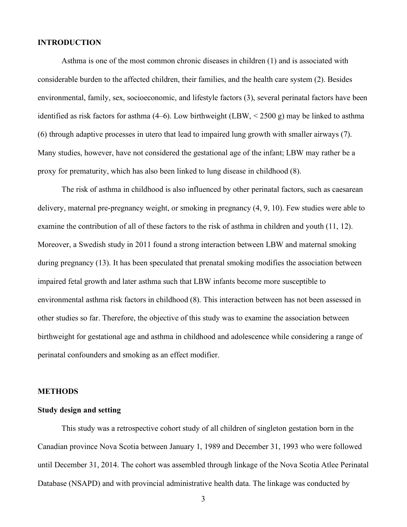# **INTRODUCTION**

Asthma is one of the most common chronic diseases in children (1) and is associated with considerable burden to the affected children, their families, and the health care system (2). Besides environmental, family, sex, socioeconomic, and lifestyle factors (3), several perinatal factors have been identified as risk factors for asthma (4–6). Low birthweight (LBW,  $\lt$  2500 g) may be linked to asthma (6) through adaptive processes in utero that lead to impaired lung growth with smaller airways (7). Many studies, however, have not considered the gestational age of the infant; LBW may rather be a proxy for prematurity, which has also been linked to lung disease in childhood (8).

The risk of asthma in childhood is also influenced by other perinatal factors, such as caesarean delivery, maternal pre-pregnancy weight, or smoking in pregnancy (4, 9, 10). Few studies were able to examine the contribution of all of these factors to the risk of asthma in children and youth (11, 12). Moreover, a Swedish study in 2011 found a strong interaction between LBW and maternal smoking during pregnancy (13). It has been speculated that prenatal smoking modifies the association between impaired fetal growth and later asthma such that LBW infants become more susceptible to environmental asthma risk factors in childhood (8). This interaction between has not been assessed in other studies so far. Therefore, the objective of this study was to examine the association between birthweight for gestational age and asthma in childhood and adolescence while considering a range of perinatal confounders and smoking as an effect modifier.

# **METHODS**

# **Study design and setting**

This study was a retrospective cohort study of all children of singleton gestation born in the Canadian province Nova Scotia between January 1, 1989 and December 31, 1993 who were followed until December 31, 2014. The cohort was assembled through linkage of the Nova Scotia Atlee Perinatal Database (NSAPD) and with provincial administrative health data. The linkage was conducted by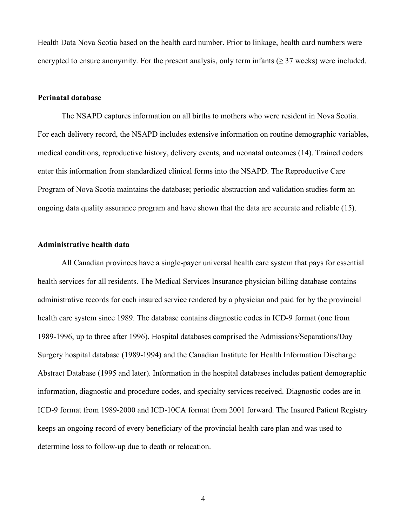Health Data Nova Scotia based on the health card number. Prior to linkage, health card numbers were encrypted to ensure anonymity. For the present analysis, only term infants ( $\geq$  37 weeks) were included.

#### **Perinatal database**

The NSAPD captures information on all births to mothers who were resident in Nova Scotia. For each delivery record, the NSAPD includes extensive information on routine demographic variables, medical conditions, reproductive history, delivery events, and neonatal outcomes (14). Trained coders enter this information from standardized clinical forms into the NSAPD. The Reproductive Care Program of Nova Scotia maintains the database; periodic abstraction and validation studies form an ongoing data quality assurance program and have shown that the data are accurate and reliable (15).

#### **Administrative health data**

All Canadian provinces have a single-payer universal health care system that pays for essential health services for all residents. The Medical Services Insurance physician billing database contains administrative records for each insured service rendered by a physician and paid for by the provincial health care system since 1989. The database contains diagnostic codes in ICD-9 format (one from 1989-1996, up to three after 1996). Hospital databases comprised the Admissions/Separations/Day Surgery hospital database (1989-1994) and the Canadian Institute for Health Information Discharge Abstract Database (1995 and later). Information in the hospital databases includes patient demographic information, diagnostic and procedure codes, and specialty services received. Diagnostic codes are in ICD-9 format from 1989-2000 and ICD-10CA format from 2001 forward. The Insured Patient Registry keeps an ongoing record of every beneficiary of the provincial health care plan and was used to determine loss to follow-up due to death or relocation.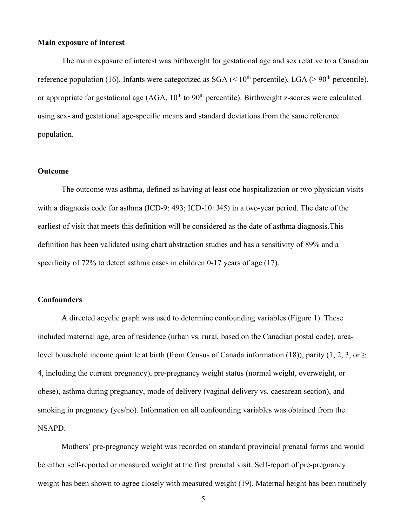# **Main exposure of interest**

The main exposure of interest was birthweight for gestational age and sex relative to a Canadian reference population (16). Infants were categorized as SGA ( $\leq 10^{th}$  percentile), LGA ( $> 90^{th}$  percentile), or appropriate for gestational age  $(AGA, 10<sup>th</sup>$  to  $90<sup>th</sup>$  percentile). Birthweight z-scores were calculated using sex- and gestational age-specific means and standard deviations from the same reference population.

#### **Outcome**

The outcome was asthma, defined as having at least one hospitalization or two physician visits with a diagnosis code for asthma (ICD-9: 493; ICD-10: J45) in a two-year period. The date of the earliest of visit that meets this definition will be considered as the date of asthma diagnosis.This definition has been validated using chart abstraction studies and has a sensitivity of 89% and a specificity of 72% to detect asthma cases in children 0-17 years of age (17).

#### **Confounders**

A directed acyclic graph was used to determine confounding variables (Figure 1). These included maternal age, area of residence (urban vs. rural, based on the Canadian postal code), arealevel household income quintile at birth (from Census of Canada information (18)), parity (1, 2, 3, or  $\geq$ 4, including the current pregnancy), pre-pregnancy weight status (normal weight, overweight, or obese), asthma during pregnancy, mode of delivery (vaginal delivery vs. caesarean section), and smoking in pregnancy (yes/no). Information on all confounding variables was obtained from the NSAPD.

Mothers' pre-pregnancy weight was recorded on standard provincial prenatal forms and would be either self-reported or measured weight at the first prenatal visit. Self-report of pre-pregnancy weight has been shown to agree closely with measured weight (19). Maternal height has been routinely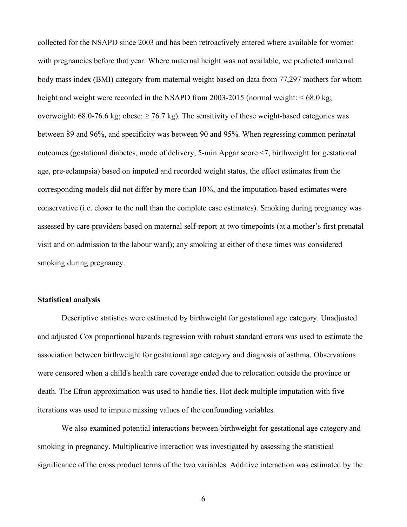collected for the NSAPD since 2003 and has been retroactively entered where available for women with pregnancies before that year. Where maternal height was not available, we predicted maternal body mass index (BMI) category from maternal weight based on data from 77,297 mothers for whom height and weight were recorded in the NSAPD from 2003-2015 (normal weight:  $\leq 68.0$  kg; overweight: 68.0-76.6 kg; obese:  $\geq$  76.7 kg). The sensitivity of these weight-based categories was between 89 and 96%, and specificity was between 90 and 95%. When regressing common perinatal outcomes (gestational diabetes, mode of delivery, 5-min Apgar score <7, birthweight for gestational age, pre-eclampsia) based on imputed and recorded weight status, the effect estimates from the corresponding models did not differ by more than 10%, and the imputation-based estimates were conservative (i.e. closer to the null than the complete case estimates). Smoking during pregnancy was assessed by care providers based on maternal self-report at two timepoints (at a mother's first prenatal visit and on admission to the labour ward); any smoking at either of these times was considered smoking during pregnancy.

# **Statistical analysis**

Descriptive statistics were estimated by birthweight for gestational age category. Unadjusted and adjusted Cox proportional hazards regression with robust standard errors was used to estimate the association between birthweight for gestational age category and diagnosis of asthma. Observations were censored when a child's health care coverage ended due to relocation outside the province or death. The Efron approximation was used to handle ties. Hot deck multiple imputation with five iterations was used to impute missing values of the confounding variables.

We also examined potential interactions between birthweight for gestational age category and smoking in pregnancy. Multiplicative interaction was investigated by assessing the statistical significance of the cross product terms of the two variables. Additive interaction was estimated by the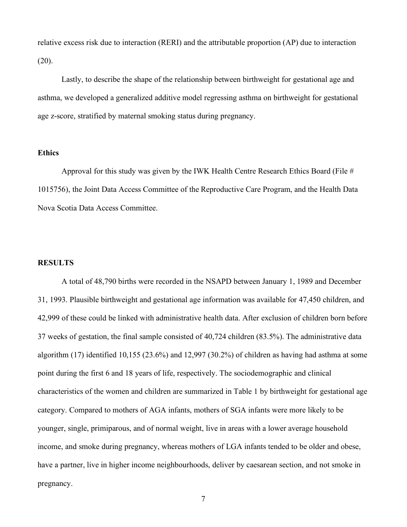relative excess risk due to interaction (RERI) and the attributable proportion (AP) due to interaction (20).

Lastly, to describe the shape of the relationship between birthweight for gestational age and asthma, we developed a generalized additive model regressing asthma on birthweight for gestational age z-score, stratified by maternal smoking status during pregnancy.

### **Ethics**

Approval for this study was given by the IWK Health Centre Research Ethics Board (File # 1015756), the Joint Data Access Committee of the Reproductive Care Program, and the Health Data Nova Scotia Data Access Committee.

#### **RESULTS**

A total of 48,790 births were recorded in the NSAPD between January 1, 1989 and December 31, 1993. Plausible birthweight and gestational age information was available for 47,450 children, and 42,999 of these could be linked with administrative health data. After exclusion of children born before 37 weeks of gestation, the final sample consisted of 40,724 children (83.5%). The administrative data algorithm (17) identified 10,155 (23.6%) and 12,997 (30.2%) of children as having had asthma at some point during the first 6 and 18 years of life, respectively. The sociodemographic and clinical characteristics of the women and children are summarized in Table 1 by birthweight for gestational age category. Compared to mothers of AGA infants, mothers of SGA infants were more likely to be younger, single, primiparous, and of normal weight, live in areas with a lower average household income, and smoke during pregnancy, whereas mothers of LGA infants tended to be older and obese, have a partner, live in higher income neighbourhoods, deliver by caesarean section, and not smoke in pregnancy.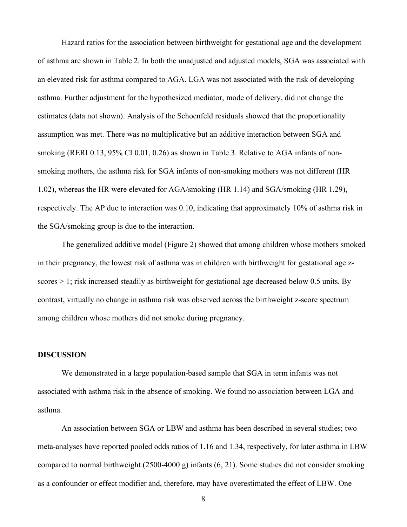Hazard ratios for the association between birthweight for gestational age and the development of asthma are shown in Table 2. In both the unadjusted and adjusted models, SGA was associated with an elevated risk for asthma compared to AGA. LGA was not associated with the risk of developing asthma. Further adjustment for the hypothesized mediator, mode of delivery, did not change the estimates (data not shown). Analysis of the Schoenfeld residuals showed that the proportionality assumption was met. There was no multiplicative but an additive interaction between SGA and smoking (RERI 0.13, 95% CI 0.01, 0.26) as shown in Table 3. Relative to AGA infants of nonsmoking mothers, the asthma risk for SGA infants of non-smoking mothers was not different (HR 1.02), whereas the HR were elevated for AGA/smoking (HR 1.14) and SGA/smoking (HR 1.29), respectively. The AP due to interaction was 0.10, indicating that approximately 10% of asthma risk in the SGA/smoking group is due to the interaction.

The generalized additive model (Figure 2) showed that among children whose mothers smoked in their pregnancy, the lowest risk of asthma was in children with birthweight for gestational age zscores > 1; risk increased steadily as birthweight for gestational age decreased below 0.5 units. By contrast, virtually no change in asthma risk was observed across the birthweight z-score spectrum among children whose mothers did not smoke during pregnancy.

#### **DISCUSSION**

We demonstrated in a large population-based sample that SGA in term infants was not associated with asthma risk in the absence of smoking. We found no association between LGA and asthma.

An association between SGA or LBW and asthma has been described in several studies; two meta-analyses have reported pooled odds ratios of 1.16 and 1.34, respectively, for later asthma in LBW compared to normal birthweight (2500-4000 g) infants (6, 21). Some studies did not consider smoking as a confounder or effect modifier and, therefore, may have overestimated the effect of LBW. One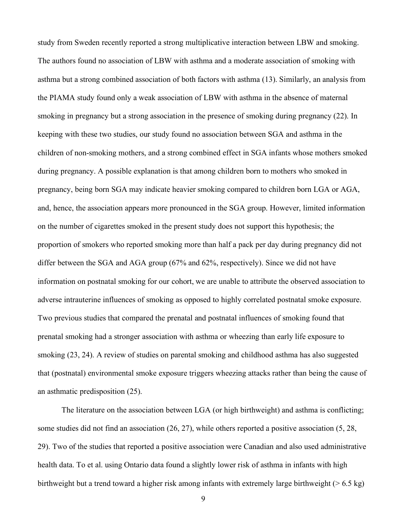study from Sweden recently reported a strong multiplicative interaction between LBW and smoking. The authors found no association of LBW with asthma and a moderate association of smoking with asthma but a strong combined association of both factors with asthma (13). Similarly, an analysis from the PIAMA study found only a weak association of LBW with asthma in the absence of maternal smoking in pregnancy but a strong association in the presence of smoking during pregnancy (22). In keeping with these two studies, our study found no association between SGA and asthma in the children of non-smoking mothers, and a strong combined effect in SGA infants whose mothers smoked during pregnancy. A possible explanation is that among children born to mothers who smoked in pregnancy, being born SGA may indicate heavier smoking compared to children born LGA or AGA, and, hence, the association appears more pronounced in the SGA group. However, limited information on the number of cigarettes smoked in the present study does not support this hypothesis; the proportion of smokers who reported smoking more than half a pack per day during pregnancy did not differ between the SGA and AGA group (67% and 62%, respectively). Since we did not have information on postnatal smoking for our cohort, we are unable to attribute the observed association to adverse intrauterine influences of smoking as opposed to highly correlated postnatal smoke exposure. Two previous studies that compared the prenatal and postnatal influences of smoking found that prenatal smoking had a stronger association with asthma or wheezing than early life exposure to smoking (23, 24). A review of studies on parental smoking and childhood asthma has also suggested that (postnatal) environmental smoke exposure triggers wheezing attacks rather than being the cause of an asthmatic predisposition (25).

The literature on the association between LGA (or high birthweight) and asthma is conflicting; some studies did not find an association (26, 27), while others reported a positive association (5, 28, 29). Two of the studies that reported a positive association were Canadian and also used administrative health data. To et al. using Ontario data found a slightly lower risk of asthma in infants with high birthweight but a trend toward a higher risk among infants with extremely large birthweight ( $> 6.5$  kg)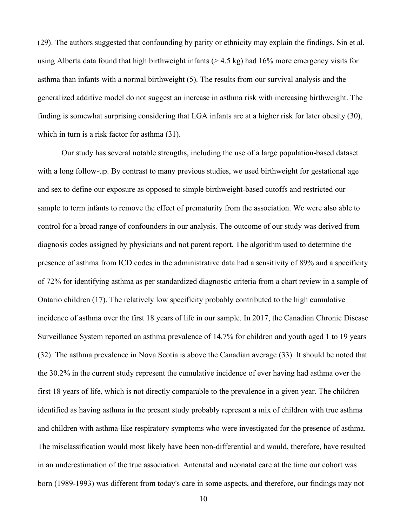(29). The authors suggested that confounding by parity or ethnicity may explain the findings. Sin et al. using Alberta data found that high birthweight infants (> 4.5 kg) had 16% more emergency visits for asthma than infants with a normal birthweight (5). The results from our survival analysis and the generalized additive model do not suggest an increase in asthma risk with increasing birthweight. The finding is somewhat surprising considering that LGA infants are at a higher risk for later obesity (30), which in turn is a risk factor for asthma  $(31)$ .

Our study has several notable strengths, including the use of a large population-based dataset with a long follow-up. By contrast to many previous studies, we used birthweight for gestational age and sex to define our exposure as opposed to simple birthweight-based cutoffs and restricted our sample to term infants to remove the effect of prematurity from the association. We were also able to control for a broad range of confounders in our analysis. The outcome of our study was derived from diagnosis codes assigned by physicians and not parent report. The algorithm used to determine the presence of asthma from ICD codes in the administrative data had a sensitivity of 89% and a specificity of 72% for identifying asthma as per standardized diagnostic criteria from a chart review in a sample of Ontario children (17). The relatively low specificity probably contributed to the high cumulative incidence of asthma over the first 18 years of life in our sample. In 2017, the Canadian Chronic Disease Surveillance System reported an asthma prevalence of 14.7% for children and youth aged 1 to 19 years (32). The asthma prevalence in Nova Scotia is above the Canadian average (33). It should be noted that the 30.2% in the current study represent the cumulative incidence of ever having had asthma over the first 18 years of life, which is not directly comparable to the prevalence in a given year. The children identified as having asthma in the present study probably represent a mix of children with true asthma and children with asthma-like respiratory symptoms who were investigated for the presence of asthma. The misclassification would most likely have been non-differential and would, therefore, have resulted in an underestimation of the true association. Antenatal and neonatal care at the time our cohort was born (1989-1993) was different from today's care in some aspects, and therefore, our findings may not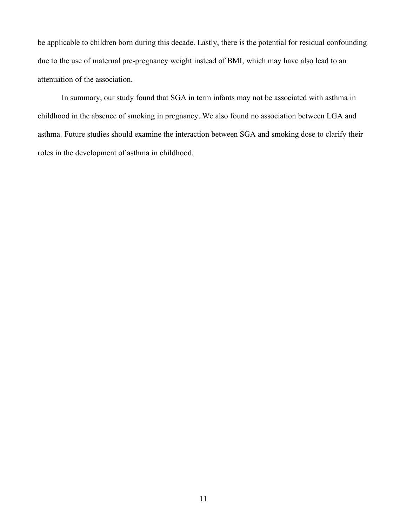be applicable to children born during this decade. Lastly, there is the potential for residual confounding due to the use of maternal pre-pregnancy weight instead of BMI, which may have also lead to an attenuation of the association.

In summary, our study found that SGA in term infants may not be associated with asthma in childhood in the absence of smoking in pregnancy. We also found no association between LGA and asthma. Future studies should examine the interaction between SGA and smoking dose to clarify their roles in the development of asthma in childhood.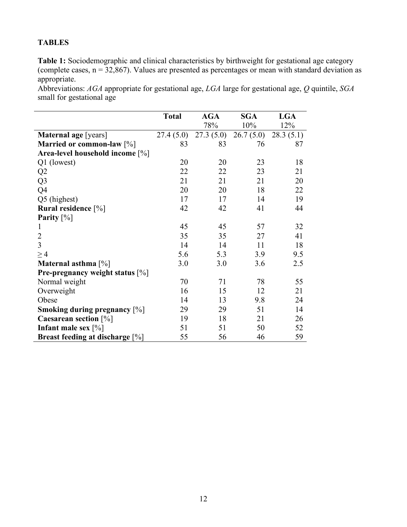# **TABLES**

**Table 1:** Sociodemographic and clinical characteristics by birthweight for gestational age category (complete cases,  $n = 32,867$ ). Values are presented as percentages or mean with standard deviation as appropriate.

Abbreviations: *AGA* appropriate for gestational age, *LGA* large for gestational age, *Q* quintile, *SGA* small for gestational age

|                                           | <b>Total</b> | <b>AGA</b> | <b>SGA</b> | <b>LGA</b> |
|-------------------------------------------|--------------|------------|------------|------------|
|                                           |              | 78%        | 10%        | 12%        |
| <b>Maternal age</b> [years]               | 27.4(5.0)    | 27.3(5.0)  | 26.7(5.0)  | 28.3(5.1)  |
| Married or common-law [%]                 | 83           | 83         | 76         | 87         |
| Area-level household income $[\%]$        |              |            |            |            |
| Q1 (lowest)                               | 20           | 20         | 23         | 18         |
| Q2                                        | 22           | 22         | 23         | 21         |
| Q <sub>3</sub>                            | 21           | 21         | 21         | 20         |
| Q4                                        | 20           | 20         | 18         | 22         |
| Q5 (highest)                              | 17           | 17         | 14         | 19         |
| <b>Rural residence</b> $[\%]$             | 42           | 42         | 41         | 44         |
| Parity $[\%]$                             |              |            |            |            |
| 1                                         | 45           | 45         | 57         | 32         |
| $\overline{2}$                            | 35           | 35         | 27         | 41         |
| $\overline{3}$                            | 14           | 14         | 11         | 18         |
| $\geq$ 4                                  | 5.6          | 5.3        | 3.9        | 9.5        |
| Maternal asthma [%]                       | 3.0          | 3.0        | 3.6        | 2.5        |
| <b>Pre-pregnancy weight status</b> $[\%]$ |              |            |            |            |
| Normal weight                             | 70           | 71         | 78         | 55         |
| Overweight                                | 16           | 15         | 12         | 21         |
| Obese                                     | 14           | 13         | 9.8        | 24         |
| <b>Smoking during pregnancy</b> [%]       | 29           | 29         | 51         | 14         |
| Caesarean section $[\%]$                  | 19           | 18         | 21         | 26         |
| Infant male sex $[\%]$                    | 51           | 51         | 50         | 52         |
| Breast feeding at discharge [%]           | 55           | 56         | 46         | 59         |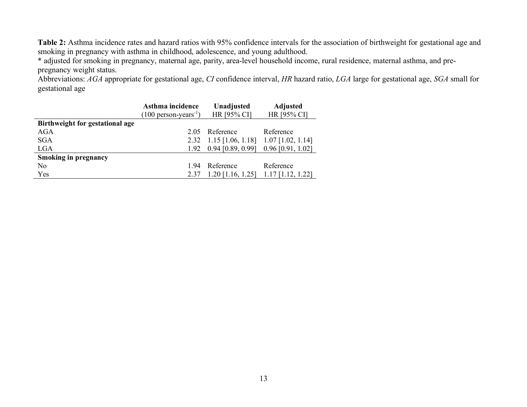**Table 2:** Asthma incidence rates and hazard ratios with 95% confidence intervals for the association of birthweight for gestational age and smoking in pregnancy with asthma in childhood, adolescence, and young adulthood.

\* adjusted for smoking in pregnancy, maternal age, parity, area-level household income, rural residence, maternal asthma, and prepregnancy weight status.

Abbreviations: *AGA* appropriate for gestational age, *CI* confidence interval, *HR* hazard ratio, *LGA* large for gestational age, *SGA* small for gestational age

|                                 | Asthma incidence                  | Unadjusted                                                           | <b>Adjusted</b>     |  |
|---------------------------------|-----------------------------------|----------------------------------------------------------------------|---------------------|--|
|                                 | $(100 \text{ person-years}^{-1})$ | HR [95% CI]                                                          | HR [95% CI]         |  |
| Birthweight for gestational age |                                   |                                                                      |                     |  |
| AGA                             | 2.05                              | Reference                                                            | Reference           |  |
| <b>SGA</b>                      |                                   | 2.32 1.15 $\lceil 1.06, 1.18 \rceil$ 1.07 $\lceil 1.02, 1.14 \rceil$ |                     |  |
| <b>LGA</b>                      | 1.92                              | $0.94$ [0.89, 0.99]                                                  | $0.96$ [0.91, 1.02] |  |
| <b>Smoking in pregnancy</b>     |                                   |                                                                      |                     |  |
| N <sub>0</sub>                  | 194                               | Reference                                                            | Reference           |  |
| Yes                             | 2.37                              | $1.20$ [1.16, 1.25]                                                  | $1.17$ [1.12, 1.22] |  |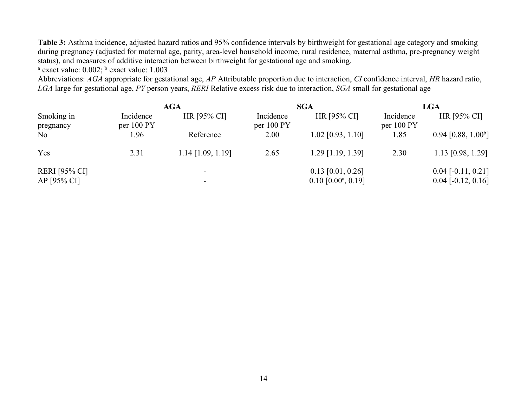**Table 3:** Asthma incidence, adjusted hazard ratios and 95% confidence intervals by birthweight for gestational age category and smoking during pregnancy (adjusted for maternal age, parity, area-level household income, rural residence, maternal asthma, pre-pregnancy weight status), and measures of additive interaction between birthweight for gestational age and smoking.

 $a$  exact value: 0.002;  $b$  exact value: 1.003

Abbreviations: *AGA* appropriate for gestational age, *AP* Attributable proportion due to interaction, *CI* confidence interval, *HR* hazard ratio, *LGA* large for gestational age, *PY* person years, *RERI* Relative excess risk due to interaction, *SGA* small for gestational age

|                      | <b>AGA</b> |                     | <b>SGA</b> |                                    | <b>LGA</b> |                                   |
|----------------------|------------|---------------------|------------|------------------------------------|------------|-----------------------------------|
| Smoking in           | Incidence  | HR [95% CI]         | Incidence  | HR [95% CI]                        | Incidence  | HR [95% CI]                       |
| pregnancy            | per 100 PY |                     | per 100 PY |                                    | per 100 PY |                                   |
| N <sub>o</sub>       | 1.96       | Reference           | 2.00       | $1.02$ [0.93, 1.10]                | 1.85       | $0.94$ [0.88, 1.00 <sup>b</sup> ] |
| Yes                  | 2.31       | $1.14$ [1.09, 1.19] | 2.65       | $1.29$ [1.19, 1.39]                | 2.30       | $1.13$ [0.98, 1.29]               |
| <b>RERI</b> [95% CI] |            |                     |            | $0.13$ [0.01, 0.26]                |            | $0.04$ [-0.11, 0.21]              |
| AP [95% CI]          |            |                     |            | $0.10$ [ $0.00^{\circ}$ , $0.19$ ] |            | $0.04$ [-0.12, 0.16]              |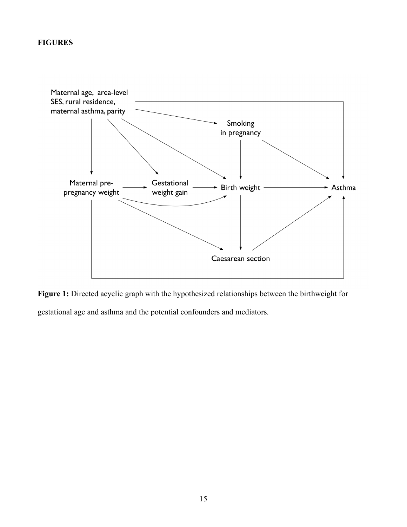# **FIGURES**



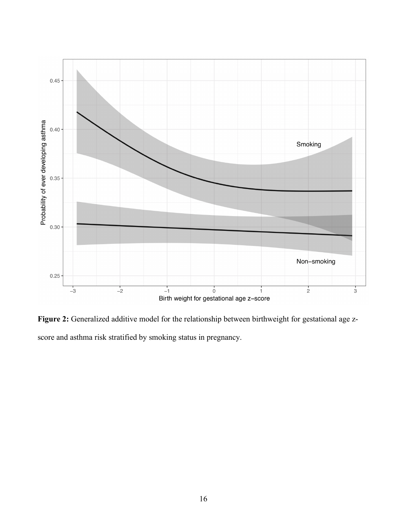

**Figure 2:** Generalized additive model for the relationship between birthweight for gestational age zscore and asthma risk stratified by smoking status in pregnancy.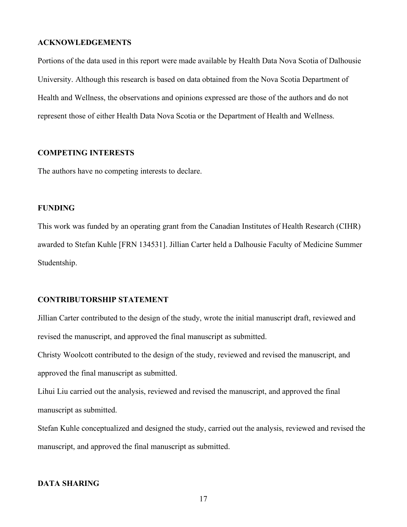#### **ACKNOWLEDGEMENTS**

Portions of the data used in this report were made available by Health Data Nova Scotia of Dalhousie University. Although this research is based on data obtained from the Nova Scotia Department of Health and Wellness, the observations and opinions expressed are those of the authors and do not represent those of either Health Data Nova Scotia or the Department of Health and Wellness.

# **COMPETING INTERESTS**

The authors have no competing interests to declare.

# **FUNDING**

This work was funded by an operating grant from the Canadian Institutes of Health Research (CIHR) awarded to Stefan Kuhle [FRN 134531]. Jillian Carter held a Dalhousie Faculty of Medicine Summer Studentship.

#### **CONTRIBUTORSHIP STATEMENT**

Jillian Carter contributed to the design of the study, wrote the initial manuscript draft, reviewed and revised the manuscript, and approved the final manuscript as submitted.

Christy Woolcott contributed to the design of the study, reviewed and revised the manuscript, and approved the final manuscript as submitted.

Lihui Liu carried out the analysis, reviewed and revised the manuscript, and approved the final manuscript as submitted.

Stefan Kuhle conceptualized and designed the study, carried out the analysis, reviewed and revised the manuscript, and approved the final manuscript as submitted.

# **DATA SHARING**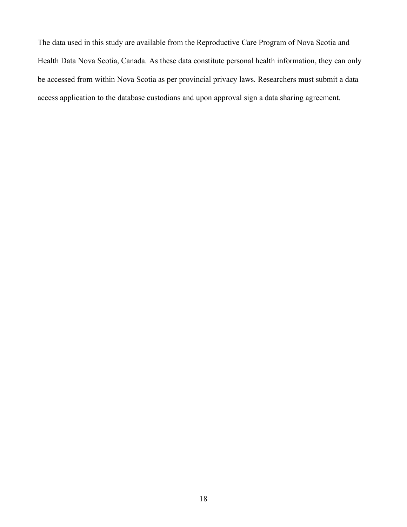The data used in this study are available from the Reproductive Care Program of Nova Scotia and Health Data Nova Scotia, Canada. As these data constitute personal health information, they can only be accessed from within Nova Scotia as per provincial privacy laws. Researchers must submit a data access application to the database custodians and upon approval sign a data sharing agreement.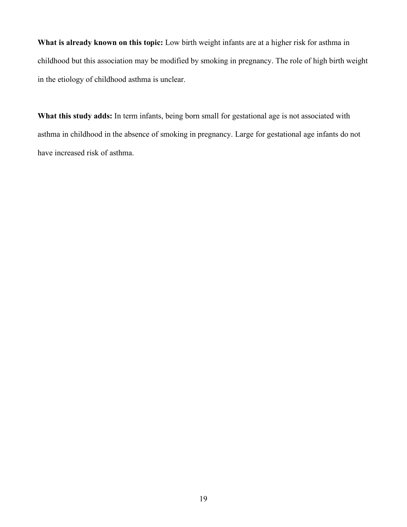**What is already known on this topic:** Low birth weight infants are at a higher risk for asthma in childhood but this association may be modified by smoking in pregnancy. The role of high birth weight in the etiology of childhood asthma is unclear.

**What this study adds:** In term infants, being born small for gestational age is not associated with asthma in childhood in the absence of smoking in pregnancy. Large for gestational age infants do not have increased risk of asthma.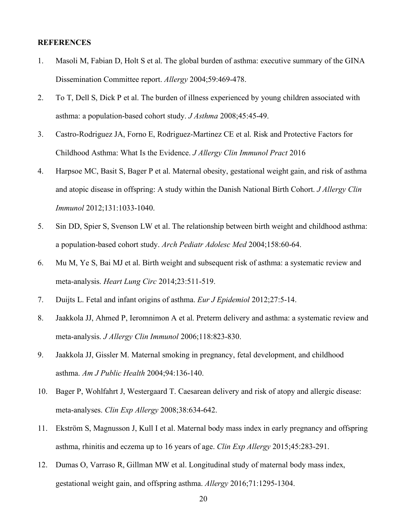#### **REFERENCES**

- 1. Masoli M, Fabian D, Holt S et al. The global burden of asthma: executive summary of the GINA Dissemination Committee report. *Allergy* 2004;59:469-478.
- 2. To T, Dell S, Dick P et al. The burden of illness experienced by young children associated with asthma: a population-based cohort study. *J Asthma* 2008;45:45-49.
- 3. Castro-Rodriguez JA, Forno E, Rodriguez-Martinez CE et al. Risk and Protective Factors for Childhood Asthma: What Is the Evidence. *J Allergy Clin Immunol Pract* 2016
- 4. Harpsoe MC, Basit S, Bager P et al. Maternal obesity, gestational weight gain, and risk of asthma and atopic disease in offspring: A study within the Danish National Birth Cohort. *J Allergy Clin Immunol* 2012;131:1033-1040.
- 5. Sin DD, Spier S, Svenson LW et al. The relationship between birth weight and childhood asthma: a population-based cohort study. *Arch Pediatr Adolesc Med* 2004;158:60-64.
- 6. Mu M, Ye S, Bai MJ et al. Birth weight and subsequent risk of asthma: a systematic review and meta-analysis. *Heart Lung Circ* 2014;23:511-519.
- 7. Duijts L. Fetal and infant origins of asthma. *Eur J Epidemiol* 2012;27:5-14.
- 8. Jaakkola JJ, Ahmed P, Ieromnimon A et al. Preterm delivery and asthma: a systematic review and meta-analysis. *J Allergy Clin Immunol* 2006;118:823-830.
- 9. Jaakkola JJ, Gissler M. Maternal smoking in pregnancy, fetal development, and childhood asthma. *Am J Public Health* 2004;94:136-140.
- 10. Bager P, Wohlfahrt J, Westergaard T. Caesarean delivery and risk of atopy and allergic disease: meta-analyses. *Clin Exp Allergy* 2008;38:634-642.
- 11. Ekström S, Magnusson J, Kull I et al. Maternal body mass index in early pregnancy and offspring asthma, rhinitis and eczema up to 16 years of age. *Clin Exp Allergy* 2015;45:283-291.
- 12. Dumas O, Varraso R, Gillman MW et al. Longitudinal study of maternal body mass index, gestational weight gain, and offspring asthma. *Allergy* 2016;71:1295-1304.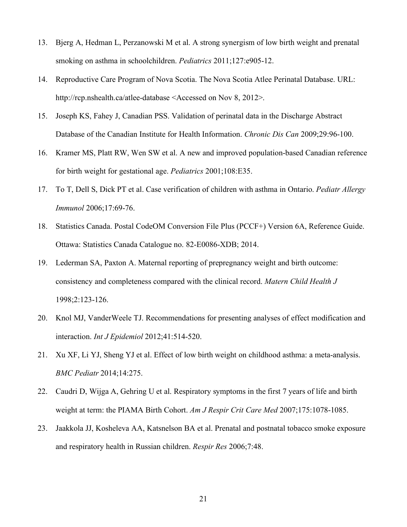- 13. Bjerg A, Hedman L, Perzanowski M et al. A strong synergism of low birth weight and prenatal smoking on asthma in schoolchildren. *Pediatrics* 2011;127:e905-12.
- 14. Reproductive Care Program of Nova Scotia. The Nova Scotia Atlee Perinatal Database. URL: http://rcp.nshealth.ca/atlee-database <Accessed on Nov 8, 2012>.
- 15. Joseph KS, Fahey J, Canadian PSS. Validation of perinatal data in the Discharge Abstract Database of the Canadian Institute for Health Information. *Chronic Dis Can* 2009;29:96-100.
- 16. Kramer MS, Platt RW, Wen SW et al. A new and improved population-based Canadian reference for birth weight for gestational age. *Pediatrics* 2001;108:E35.
- 17. To T, Dell S, Dick PT et al. Case verification of children with asthma in Ontario. *Pediatr Allergy Immunol* 2006;17:69-76.
- 18. Statistics Canada. Postal CodeOM Conversion File Plus (PCCF+) Version 6A, Reference Guide. Ottawa: Statistics Canada Catalogue no. 82-E0086-XDB; 2014.
- 19. Lederman SA, Paxton A. Maternal reporting of prepregnancy weight and birth outcome: consistency and completeness compared with the clinical record. *Matern Child Health J* 1998;2:123-126.
- 20. Knol MJ, VanderWeele TJ. Recommendations for presenting analyses of effect modification and interaction. *Int J Epidemiol* 2012;41:514-520.
- 21. Xu XF, Li YJ, Sheng YJ et al. Effect of low birth weight on childhood asthma: a meta-analysis. *BMC Pediatr* 2014;14:275.
- 22. Caudri D, Wijga A, Gehring U et al. Respiratory symptoms in the first 7 years of life and birth weight at term: the PIAMA Birth Cohort. *Am J Respir Crit Care Med* 2007;175:1078-1085.
- 23. Jaakkola JJ, Kosheleva AA, Katsnelson BA et al. Prenatal and postnatal tobacco smoke exposure and respiratory health in Russian children. *Respir Res* 2006;7:48.